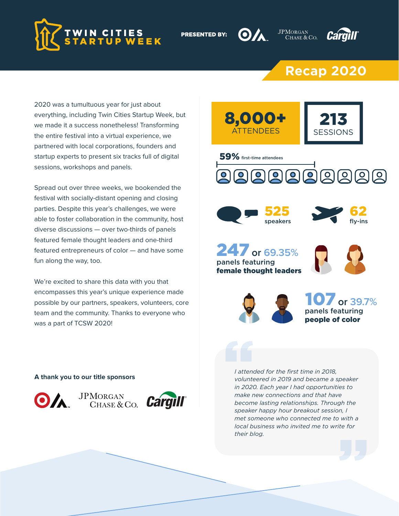

**PRESENTED BY:** 





## **Recap 2020**

**JPMORGAN** 

2020 was a tumultuous year for just about everything, including Twin Cities Startup Week, but we made it a success nonetheless! Transforming the entire festival into a virtual experience, we partnered with local corporations, founders and startup experts to present six tracks full of digital sessions, workshops and panels.

Spread out over three weeks, we bookended the festival with socially-distant opening and closing parties. Despite this year's challenges, we were able to foster collaboration in the community, host diverse discussions — over two-thirds of panels featured female thought leaders and one-third featured entrepreneurs of color — and have some fun along the way, too.

We're excited to share this data with you that encompasses this year's unique experience made possible by our partners, speakers, volunteers, core team and the community. Thanks to everyone who was a part of TCSW 2020!

**A thank you to our title sponsors**



JPMORGAN<br>CHASE & CO.



213 8,000+ ATTENDEES SESSIONS 59% first-time attendees **AAAAAAAA**  $| 0 |$ 525 62 speakers fly-ins 247**or 69.35%** panels featuring female thought leaders 107**or 39.7%** panels featuring people of color *I attended for the first time in 2018,* 

*volunteered in 2019 and became a speaker in 2020. Each year I had opportunities to make new connections and that have become lasting relationships. Through the speaker happy hour breakout session, I met someone who connected me to with a local business who invited me to write for their blog.*